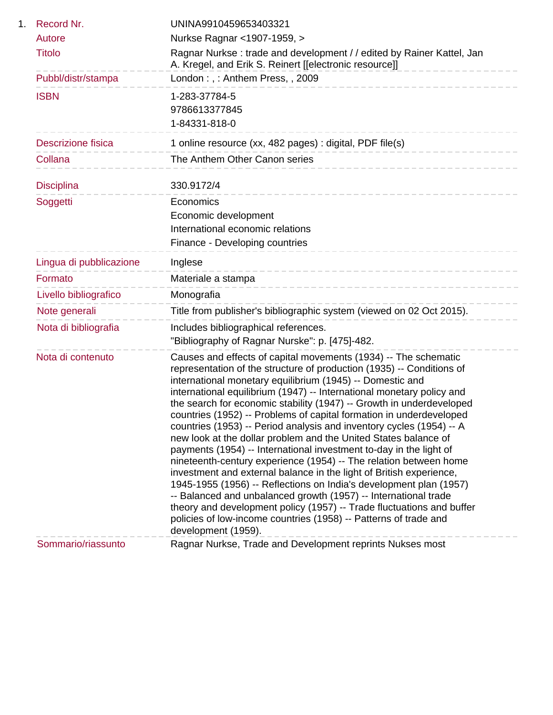| Record Nr.                | UNINA9910459653403321                                                                                                                                                                                                                                                                                                                                                                                                                                                                                                                                                                                                                                                                                                                                                                                                                                                                                                                                                                                                                                                                                   |
|---------------------------|---------------------------------------------------------------------------------------------------------------------------------------------------------------------------------------------------------------------------------------------------------------------------------------------------------------------------------------------------------------------------------------------------------------------------------------------------------------------------------------------------------------------------------------------------------------------------------------------------------------------------------------------------------------------------------------------------------------------------------------------------------------------------------------------------------------------------------------------------------------------------------------------------------------------------------------------------------------------------------------------------------------------------------------------------------------------------------------------------------|
| Autore                    | Nurkse Ragnar < 1907-1959, >                                                                                                                                                                                                                                                                                                                                                                                                                                                                                                                                                                                                                                                                                                                                                                                                                                                                                                                                                                                                                                                                            |
| <b>Titolo</b>             | Ragnar Nurkse: trade and development / / edited by Rainer Kattel, Jan<br>A. Kregel, and Erik S. Reinert [[electronic resource]]                                                                                                                                                                                                                                                                                                                                                                                                                                                                                                                                                                                                                                                                                                                                                                                                                                                                                                                                                                         |
| Pubbl/distr/stampa        | London:,: Anthem Press,, 2009                                                                                                                                                                                                                                                                                                                                                                                                                                                                                                                                                                                                                                                                                                                                                                                                                                                                                                                                                                                                                                                                           |
| <b>ISBN</b>               | 1-283-37784-5                                                                                                                                                                                                                                                                                                                                                                                                                                                                                                                                                                                                                                                                                                                                                                                                                                                                                                                                                                                                                                                                                           |
|                           | 9786613377845                                                                                                                                                                                                                                                                                                                                                                                                                                                                                                                                                                                                                                                                                                                                                                                                                                                                                                                                                                                                                                                                                           |
|                           | 1-84331-818-0                                                                                                                                                                                                                                                                                                                                                                                                                                                                                                                                                                                                                                                                                                                                                                                                                                                                                                                                                                                                                                                                                           |
| <b>Descrizione fisica</b> | 1 online resource (xx, 482 pages) : digital, PDF file(s)                                                                                                                                                                                                                                                                                                                                                                                                                                                                                                                                                                                                                                                                                                                                                                                                                                                                                                                                                                                                                                                |
| Collana                   | The Anthem Other Canon series                                                                                                                                                                                                                                                                                                                                                                                                                                                                                                                                                                                                                                                                                                                                                                                                                                                                                                                                                                                                                                                                           |
| <b>Disciplina</b>         | 330.9172/4                                                                                                                                                                                                                                                                                                                                                                                                                                                                                                                                                                                                                                                                                                                                                                                                                                                                                                                                                                                                                                                                                              |
| Soggetti                  | Economics                                                                                                                                                                                                                                                                                                                                                                                                                                                                                                                                                                                                                                                                                                                                                                                                                                                                                                                                                                                                                                                                                               |
|                           | Economic development                                                                                                                                                                                                                                                                                                                                                                                                                                                                                                                                                                                                                                                                                                                                                                                                                                                                                                                                                                                                                                                                                    |
|                           | International economic relations                                                                                                                                                                                                                                                                                                                                                                                                                                                                                                                                                                                                                                                                                                                                                                                                                                                                                                                                                                                                                                                                        |
|                           | Finance - Developing countries                                                                                                                                                                                                                                                                                                                                                                                                                                                                                                                                                                                                                                                                                                                                                                                                                                                                                                                                                                                                                                                                          |
| Lingua di pubblicazione   | Inglese                                                                                                                                                                                                                                                                                                                                                                                                                                                                                                                                                                                                                                                                                                                                                                                                                                                                                                                                                                                                                                                                                                 |
| Formato                   | Materiale a stampa<br>___________________________                                                                                                                                                                                                                                                                                                                                                                                                                                                                                                                                                                                                                                                                                                                                                                                                                                                                                                                                                                                                                                                       |
| Livello bibliografico     | Monografia                                                                                                                                                                                                                                                                                                                                                                                                                                                                                                                                                                                                                                                                                                                                                                                                                                                                                                                                                                                                                                                                                              |
| Note generali             | Title from publisher's bibliographic system (viewed on 02 Oct 2015).                                                                                                                                                                                                                                                                                                                                                                                                                                                                                                                                                                                                                                                                                                                                                                                                                                                                                                                                                                                                                                    |
| Nota di bibliografia      | Includes bibliographical references.                                                                                                                                                                                                                                                                                                                                                                                                                                                                                                                                                                                                                                                                                                                                                                                                                                                                                                                                                                                                                                                                    |
|                           | "Bibliography of Ragnar Nurske": p. [475]-482.                                                                                                                                                                                                                                                                                                                                                                                                                                                                                                                                                                                                                                                                                                                                                                                                                                                                                                                                                                                                                                                          |
| Nota di contenuto         | Causes and effects of capital movements (1934) -- The schematic<br>representation of the structure of production (1935) -- Conditions of<br>international monetary equilibrium (1945) -- Domestic and<br>international equilibrium (1947) -- International monetary policy and<br>the search for economic stability (1947) -- Growth in underdeveloped<br>countries (1952) -- Problems of capital formation in underdeveloped<br>countries (1953) -- Period analysis and inventory cycles (1954) -- A<br>new look at the dollar problem and the United States balance of<br>payments (1954) -- International investment to-day in the light of<br>nineteenth-century experience (1954) -- The relation between home<br>investment and external balance in the light of British experience,<br>1945-1955 (1956) -- Reflections on India's development plan (1957)<br>-- Balanced and unbalanced growth (1957) -- International trade<br>theory and development policy (1957) -- Trade fluctuations and buffer<br>policies of low-income countries (1958) -- Patterns of trade and<br>development (1959). |
| Sommario/riassunto        | Ragnar Nurkse, Trade and Development reprints Nukses most                                                                                                                                                                                                                                                                                                                                                                                                                                                                                                                                                                                                                                                                                                                                                                                                                                                                                                                                                                                                                                               |